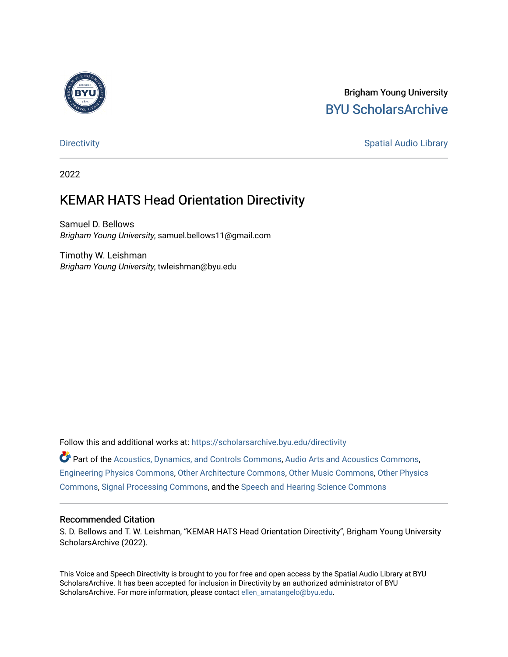

### Brigham Young University [BYU ScholarsArchive](https://scholarsarchive.byu.edu/)

[Directivity](https://scholarsarchive.byu.edu/directivity) **Spatial Audio Library** Spatial Audio Library

2022

## KEMAR HATS Head Orientation Directivity

Samuel D. Bellows Brigham Young University, samuel.bellows11@gmail.com

Timothy W. Leishman Brigham Young University, twleishman@byu.edu

Follow this and additional works at: [https://scholarsarchive.byu.edu/directivity](https://scholarsarchive.byu.edu/directivity?utm_source=scholarsarchive.byu.edu%2Fdirectivity%2F16&utm_medium=PDF&utm_campaign=PDFCoverPages) 

Part of the [Acoustics, Dynamics, and Controls Commons](http://network.bepress.com/hgg/discipline/294?utm_source=scholarsarchive.byu.edu%2Fdirectivity%2F16&utm_medium=PDF&utm_campaign=PDFCoverPages), [Audio Arts and Acoustics Commons,](http://network.bepress.com/hgg/discipline/1140?utm_source=scholarsarchive.byu.edu%2Fdirectivity%2F16&utm_medium=PDF&utm_campaign=PDFCoverPages) [Engineering Physics Commons,](http://network.bepress.com/hgg/discipline/200?utm_source=scholarsarchive.byu.edu%2Fdirectivity%2F16&utm_medium=PDF&utm_campaign=PDFCoverPages) [Other Architecture Commons,](http://network.bepress.com/hgg/discipline/783?utm_source=scholarsarchive.byu.edu%2Fdirectivity%2F16&utm_medium=PDF&utm_campaign=PDFCoverPages) [Other Music Commons,](http://network.bepress.com/hgg/discipline/524?utm_source=scholarsarchive.byu.edu%2Fdirectivity%2F16&utm_medium=PDF&utm_campaign=PDFCoverPages) [Other Physics](http://network.bepress.com/hgg/discipline/207?utm_source=scholarsarchive.byu.edu%2Fdirectivity%2F16&utm_medium=PDF&utm_campaign=PDFCoverPages)  [Commons](http://network.bepress.com/hgg/discipline/207?utm_source=scholarsarchive.byu.edu%2Fdirectivity%2F16&utm_medium=PDF&utm_campaign=PDFCoverPages), [Signal Processing Commons,](http://network.bepress.com/hgg/discipline/275?utm_source=scholarsarchive.byu.edu%2Fdirectivity%2F16&utm_medium=PDF&utm_campaign=PDFCoverPages) and the [Speech and Hearing Science Commons](http://network.bepress.com/hgg/discipline/1033?utm_source=scholarsarchive.byu.edu%2Fdirectivity%2F16&utm_medium=PDF&utm_campaign=PDFCoverPages) 

#### Recommended Citation

S. D. Bellows and T. W. Leishman, "KEMAR HATS Head Orientation Directivity", Brigham Young University ScholarsArchive (2022).

This Voice and Speech Directivity is brought to you for free and open access by the Spatial Audio Library at BYU ScholarsArchive. It has been accepted for inclusion in Directivity by an authorized administrator of BYU ScholarsArchive. For more information, please contact [ellen\\_amatangelo@byu.edu](mailto:ellen_amatangelo@byu.edu).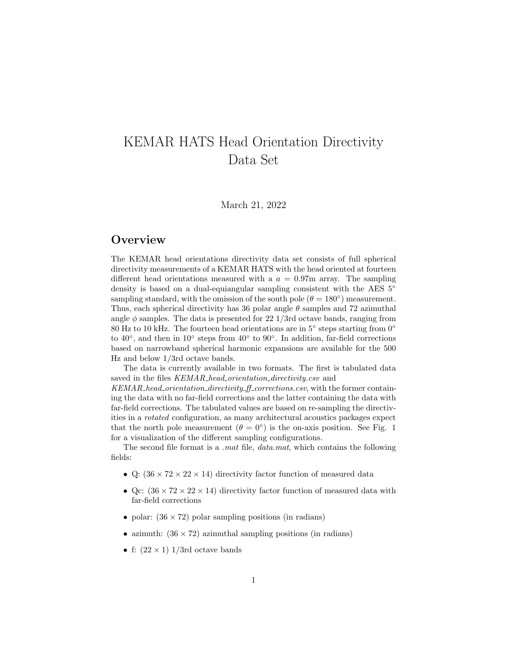# KEMAR HATS Head Orientation Directivity Data Set

March 21, 2022

### **Overview**

The KEMAR head orientations directivity data set consists of full spherical directivity measurements of a KEMAR HATS with the head oriented at fourteen different head orientations measured with a  $a = 0.97$ m array. The sampling density is based on a dual-equiangular sampling consistent with the AES 5◦ sampling standard, with the omission of the south pole  $(\theta = 180^{\circ})$  measurement. Thus, each spherical directivity has 36 polar angle  $\theta$  samples and 72 azimuthal angle  $\phi$  samples. The data is presented for 22 1/3rd octave bands, ranging from 80 Hz to 10 kHz. The fourteen head orientations are in  $5^{\circ}$  steps starting from  $0^{\circ}$ to  $40^{\circ}$ , and then in  $10^{\circ}$  steps from  $40^{\circ}$  to  $90^{\circ}$ . In addition, far-field corrections based on narrowband spherical harmonic expansions are available for the 500 Hz and below 1/3rd octave bands.

The data is currently available in two formats. The first is tabulated data saved in the files KEMAR\_head\_orientation\_directivity.csv and

KEMAR\_head\_orientation\_directivity\_ff\_corrections.csv, with the former containing the data with no far-field corrections and the latter containing the data with far-field corrections. The tabulated values are based on re-sampling the directivities in a rotated configuration, as many architectural acoustics packages expect that the north pole measurement  $(\theta = 0^{\circ})$  is the on-axis position. See Fig. 1 for a visualization of the different sampling configurations.

The second file format is a *mat* file, *data mat*, which contains the following fields:

- Q:  $(36 \times 72 \times 22 \times 14)$  directivity factor function of measured data
- Qc:  $(36 \times 72 \times 22 \times 14)$  directivity factor function of measured data with far-field corrections
- polar:  $(36 \times 72)$  polar sampling positions (in radians)
- azimuth:  $(36 \times 72)$  azimuthal sampling positions (in radians)
- f:  $(22 \times 1)$  1/3rd octave bands